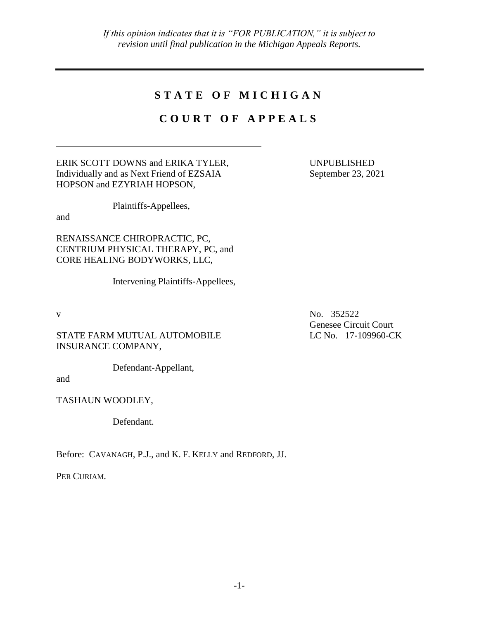## **S T A T E O F M I C H I G A N**

## **C O U R T O F A P P E A L S**

ERIK SCOTT DOWNS and ERIKA TYLER, Individually and as Next Friend of EZSAIA HOPSON and EZYRIAH HOPSON,

Plaintiffs-Appellees,

and

RENAISSANCE CHIROPRACTIC, PC, CENTRIUM PHYSICAL THERAPY, PC, and CORE HEALING BODYWORKS, LLC,

Intervening Plaintiffs-Appellees,

STATE FARM MUTUAL AUTOMOBILE INSURANCE COMPANY,

Defendant-Appellant,

and

TASHAUN WOODLEY,

Defendant.

Before: CAVANAGH, P.J., and K. F. KELLY and REDFORD, JJ.

PER CURIAM.

UNPUBLISHED September 23, 2021

v No. 352522 Genesee Circuit Court LC No. 17-109960-CK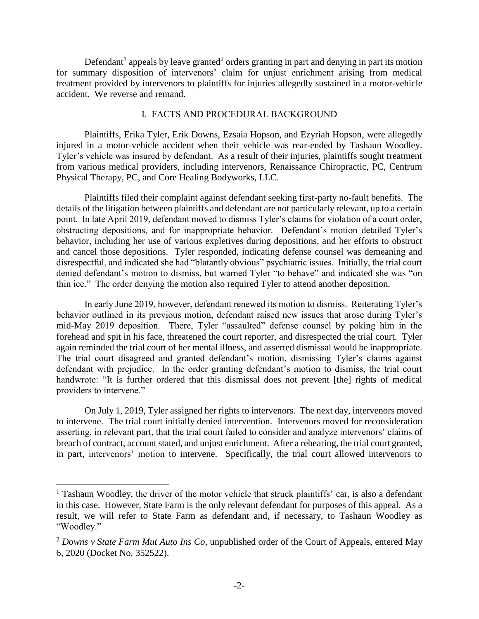Defendant<sup>1</sup> appeals by leave granted<sup>2</sup> orders granting in part and denying in part its motion for summary disposition of intervenors' claim for unjust enrichment arising from medical treatment provided by intervenors to plaintiffs for injuries allegedly sustained in a motor-vehicle accident. We reverse and remand.

## I. FACTS AND PROCEDURAL BACKGROUND

Plaintiffs, Erika Tyler, Erik Downs, Ezsaia Hopson, and Ezyriah Hopson, were allegedly injured in a motor-vehicle accident when their vehicle was rear-ended by Tashaun Woodley. Tyler's vehicle was insured by defendant. As a result of their injuries, plaintiffs sought treatment from various medical providers, including intervenors, Renaissance Chiropractic, PC, Centrum Physical Therapy, PC, and Core Healing Bodyworks, LLC.

Plaintiffs filed their complaint against defendant seeking first-party no-fault benefits. The details of the litigation between plaintiffs and defendant are not particularly relevant, up to a certain point. In late April 2019, defendant moved to dismiss Tyler's claims for violation of a court order, obstructing depositions, and for inappropriate behavior. Defendant's motion detailed Tyler's behavior, including her use of various expletives during depositions, and her efforts to obstruct and cancel those depositions. Tyler responded, indicating defense counsel was demeaning and disrespectful, and indicated she had "blatantly obvious" psychiatric issues. Initially, the trial court denied defendant's motion to dismiss, but warned Tyler "to behave" and indicated she was "on thin ice." The order denying the motion also required Tyler to attend another deposition.

In early June 2019, however, defendant renewed its motion to dismiss. Reiterating Tyler's behavior outlined in its previous motion, defendant raised new issues that arose during Tyler's mid-May 2019 deposition. There, Tyler "assaulted" defense counsel by poking him in the forehead and spit in his face, threatened the court reporter, and disrespected the trial court. Tyler again reminded the trial court of her mental illness, and asserted dismissal would be inappropriate. The trial court disagreed and granted defendant's motion, dismissing Tyler's claims against defendant with prejudice. In the order granting defendant's motion to dismiss, the trial court handwrote: "It is further ordered that this dismissal does not prevent [the] rights of medical providers to intervene."

On July 1, 2019, Tyler assigned her rights to intervenors. The next day, intervenors moved to intervene. The trial court initially denied intervention. Intervenors moved for reconsideration asserting, in relevant part, that the trial court failed to consider and analyze intervenors' claims of breach of contract, account stated, and unjust enrichment. After a rehearing, the trial court granted, in part, intervenors' motion to intervene. Specifically, the trial court allowed intervenors to

 $\overline{a}$ 

<sup>&</sup>lt;sup>1</sup> Tashaun Woodley, the driver of the motor vehicle that struck plaintiffs' car, is also a defendant in this case. However, State Farm is the only relevant defendant for purposes of this appeal. As a result, we will refer to State Farm as defendant and, if necessary, to Tashaun Woodley as "Woodley."

<sup>2</sup> *Downs v State Farm Mut Auto Ins Co*, unpublished order of the Court of Appeals, entered May 6, 2020 (Docket No. 352522).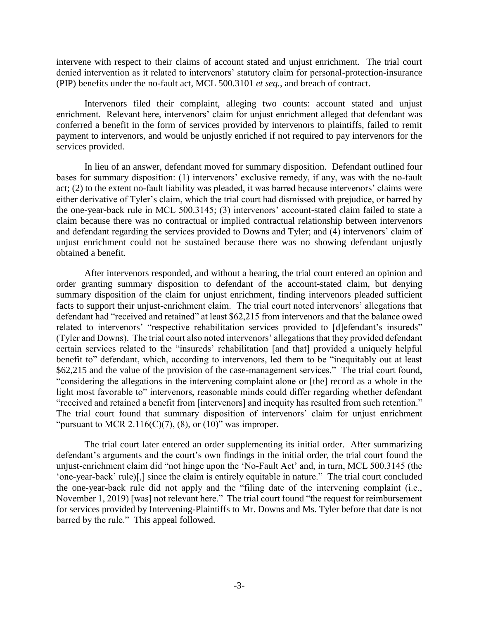intervene with respect to their claims of account stated and unjust enrichment. The trial court denied intervention as it related to intervenors' statutory claim for personal-protection-insurance (PIP) benefits under the no-fault act, MCL 500.3101 *et seq.*, and breach of contract.

Intervenors filed their complaint, alleging two counts: account stated and unjust enrichment. Relevant here, intervenors' claim for unjust enrichment alleged that defendant was conferred a benefit in the form of services provided by intervenors to plaintiffs, failed to remit payment to intervenors, and would be unjustly enriched if not required to pay intervenors for the services provided.

In lieu of an answer, defendant moved for summary disposition. Defendant outlined four bases for summary disposition: (1) intervenors' exclusive remedy, if any, was with the no-fault act; (2) to the extent no-fault liability was pleaded, it was barred because intervenors' claims were either derivative of Tyler's claim, which the trial court had dismissed with prejudice, or barred by the one-year-back rule in MCL 500.3145; (3) intervenors' account-stated claim failed to state a claim because there was no contractual or implied contractual relationship between intervenors and defendant regarding the services provided to Downs and Tyler; and (4) intervenors' claim of unjust enrichment could not be sustained because there was no showing defendant unjustly obtained a benefit.

After intervenors responded, and without a hearing, the trial court entered an opinion and order granting summary disposition to defendant of the account-stated claim, but denying summary disposition of the claim for unjust enrichment, finding intervenors pleaded sufficient facts to support their unjust-enrichment claim. The trial court noted intervenors' allegations that defendant had "received and retained" at least \$62,215 from intervenors and that the balance owed related to intervenors' "respective rehabilitation services provided to [d]efendant's insureds" (Tyler and Downs). The trial court also noted intervenors' allegations that they provided defendant certain services related to the "insureds' rehabilitation [and that] provided a uniquely helpful benefit to" defendant, which, according to intervenors, led them to be "inequitably out at least \$62,215 and the value of the provision of the case-management services." The trial court found, "considering the allegations in the intervening complaint alone or [the] record as a whole in the light most favorable to" intervenors, reasonable minds could differ regarding whether defendant "received and retained a benefit from [intervenors] and inequity has resulted from such retention." The trial court found that summary disposition of intervenors' claim for unjust enrichment "pursuant to MCR 2.116(C)(7), (8), or (10)" was improper.

The trial court later entered an order supplementing its initial order. After summarizing defendant's arguments and the court's own findings in the initial order, the trial court found the unjust-enrichment claim did "not hinge upon the 'No-Fault Act' and, in turn, MCL 500.3145 (the 'one-year-back' rule)[,] since the claim is entirely equitable in nature." The trial court concluded the one-year-back rule did not apply and the "filing date of the intervening complaint (i.e., November 1, 2019) [was] not relevant here." The trial court found "the request for reimbursement for services provided by Intervening-Plaintiffs to Mr. Downs and Ms. Tyler before that date is not barred by the rule." This appeal followed.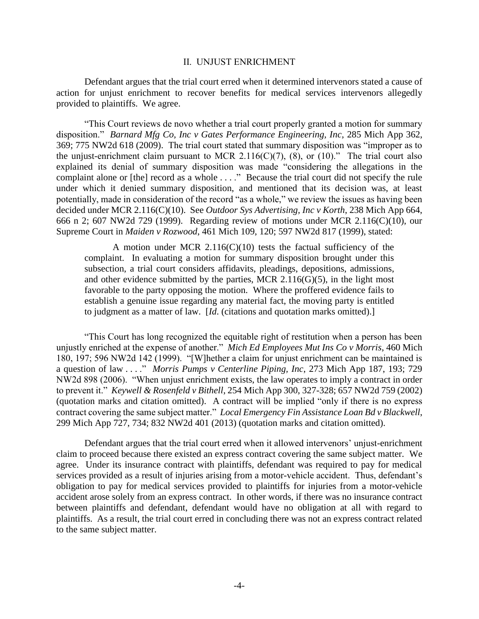## II. UNJUST ENRICHMENT

Defendant argues that the trial court erred when it determined intervenors stated a cause of action for unjust enrichment to recover benefits for medical services intervenors allegedly provided to plaintiffs. We agree.

"This Court reviews de novo whether a trial court properly granted a motion for summary disposition." *Barnard Mfg Co, Inc v Gates Performance Engineering, Inc*, 285 Mich App 362, 369; 775 NW2d 618 (2009). The trial court stated that summary disposition was "improper as to the unjust-enrichment claim pursuant to MCR 2.116(C)(7), (8), or (10)." The trial court also explained its denial of summary disposition was made "considering the allegations in the complaint alone or [the] record as a whole . . . ." Because the trial court did not specify the rule under which it denied summary disposition, and mentioned that its decision was, at least potentially, made in consideration of the record "as a whole," we review the issues as having been decided under MCR 2.116(C)(10). See *Outdoor Sys Advertising, Inc v Korth*, 238 Mich App 664, 666 n 2; 607 NW2d 729 (1999). Regarding review of motions under MCR 2.116(C)(10), our Supreme Court in *Maiden v Rozwood*, 461 Mich 109, 120; 597 NW2d 817 (1999), stated:

A motion under MCR  $2.116(C)(10)$  tests the factual sufficiency of the complaint. In evaluating a motion for summary disposition brought under this subsection, a trial court considers affidavits, pleadings, depositions, admissions, and other evidence submitted by the parties, MCR  $2.116(G)(5)$ , in the light most favorable to the party opposing the motion. Where the proffered evidence fails to establish a genuine issue regarding any material fact, the moving party is entitled to judgment as a matter of law. [*Id*. (citations and quotation marks omitted).]

"This Court has long recognized the equitable right of restitution when a person has been unjustly enriched at the expense of another." *Mich Ed Employees Mut Ins Co v Morris*, 460 Mich 180, 197; 596 NW2d 142 (1999). "[W]hether a claim for unjust enrichment can be maintained is a question of law . . . ." *Morris Pumps v Centerline Piping, Inc*, 273 Mich App 187, 193; 729 NW2d 898 (2006). "When unjust enrichment exists, the law operates to imply a contract in order to prevent it." *Keywell & Rosenfeld v Bithell*, 254 Mich App 300, 327-328; 657 NW2d 759 (2002) (quotation marks and citation omitted). A contract will be implied "only if there is no express contract covering the same subject matter." *Local Emergency Fin Assistance Loan Bd v Blackwell*, 299 Mich App 727, 734; 832 NW2d 401 (2013) (quotation marks and citation omitted).

Defendant argues that the trial court erred when it allowed intervenors' unjust-enrichment claim to proceed because there existed an express contract covering the same subject matter. We agree. Under its insurance contract with plaintiffs, defendant was required to pay for medical services provided as a result of injuries arising from a motor-vehicle accident. Thus, defendant's obligation to pay for medical services provided to plaintiffs for injuries from a motor-vehicle accident arose solely from an express contract. In other words, if there was no insurance contract between plaintiffs and defendant, defendant would have no obligation at all with regard to plaintiffs. As a result, the trial court erred in concluding there was not an express contract related to the same subject matter.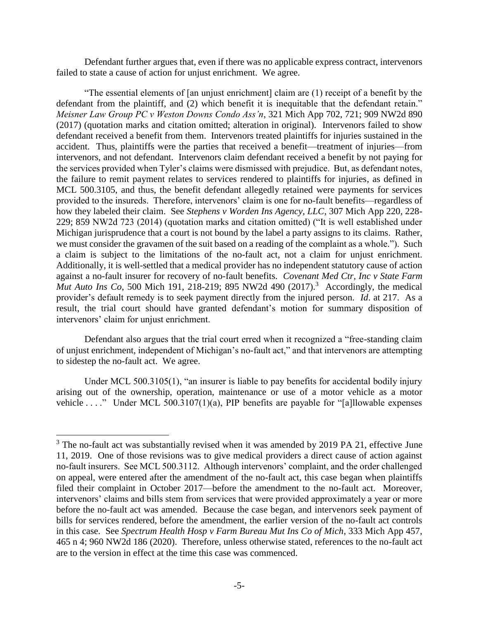Defendant further argues that, even if there was no applicable express contract, intervenors failed to state a cause of action for unjust enrichment. We agree.

"The essential elements of [an unjust enrichment] claim are (1) receipt of a benefit by the defendant from the plaintiff, and (2) which benefit it is inequitable that the defendant retain." *Meisner Law Group PC v Weston Downs Condo Ass'n*, 321 Mich App 702, 721; 909 NW2d 890 (2017) (quotation marks and citation omitted; alteration in original). Intervenors failed to show defendant received a benefit from them. Intervenors treated plaintiffs for injuries sustained in the accident. Thus, plaintiffs were the parties that received a benefit—treatment of injuries—from intervenors, and not defendant. Intervenors claim defendant received a benefit by not paying for the services provided when Tyler's claims were dismissed with prejudice. But, as defendant notes, the failure to remit payment relates to services rendered to plaintiffs for injuries, as defined in MCL 500.3105, and thus, the benefit defendant allegedly retained were payments for services provided to the insureds. Therefore, intervenors' claim is one for no-fault benefits—regardless of how they labeled their claim. See *Stephens v Worden Ins Agency, LLC*, 307 Mich App 220, 228- 229; 859 NW2d 723 (2014) (quotation marks and citation omitted) ("It is well established under Michigan jurisprudence that a court is not bound by the label a party assigns to its claims. Rather, we must consider the gravamen of the suit based on a reading of the complaint as a whole."). Such a claim is subject to the limitations of the no-fault act, not a claim for unjust enrichment. Additionally, it is well-settled that a medical provider has no independent statutory cause of action against a no-fault insurer for recovery of no-fault benefits. *Covenant Med Ctr, Inc v State Farm Mut Auto Ins Co*, 500 Mich 191, 218-219; 895 NW2d 490 (2017).<sup>3</sup> Accordingly, the medical provider's default remedy is to seek payment directly from the injured person. *Id*. at 217. As a result, the trial court should have granted defendant's motion for summary disposition of intervenors' claim for unjust enrichment.

Defendant also argues that the trial court erred when it recognized a "free-standing claim of unjust enrichment, independent of Michigan's no-fault act," and that intervenors are attempting to sidestep the no-fault act. We agree.

Under MCL 500.3105(1), "an insurer is liable to pay benefits for accidental bodily injury arising out of the ownership, operation, maintenance or use of a motor vehicle as a motor vehicle . . . ." Under MCL 500.3107(1)(a), PIP benefits are payable for "[a]llowable expenses

 $\overline{a}$ 

 $3$  The no-fault act was substantially revised when it was amended by 2019 PA 21, effective June 11, 2019. One of those revisions was to give medical providers a direct cause of action against no-fault insurers. See MCL 500.3112. Although intervenors' complaint, and the order challenged on appeal, were entered after the amendment of the no-fault act, this case began when plaintiffs filed their complaint in October 2017—before the amendment to the no-fault act. Moreover, intervenors' claims and bills stem from services that were provided approximately a year or more before the no-fault act was amended. Because the case began, and intervenors seek payment of bills for services rendered, before the amendment, the earlier version of the no-fault act controls in this case. See *Spectrum Health Hosp v Farm Bureau Mut Ins Co of Mich*, 333 Mich App 457, 465 n 4; 960 NW2d 186 (2020). Therefore, unless otherwise stated, references to the no-fault act are to the version in effect at the time this case was commenced.